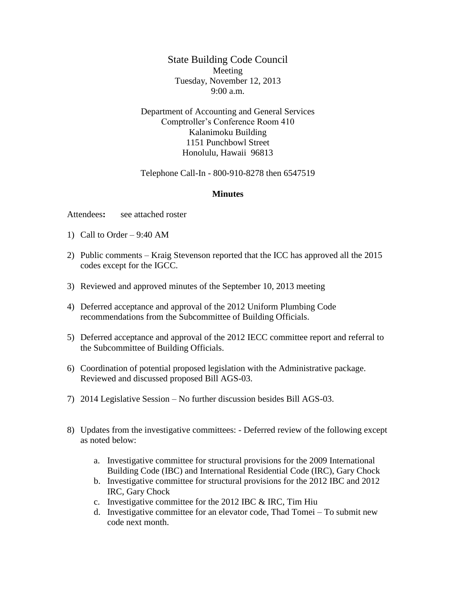State Building Code Council Meeting Tuesday, November 12, 2013 9:00 a.m.

Department of Accounting and General Services Comptroller's Conference Room 410 Kalanimoku Building 1151 Punchbowl Street Honolulu, Hawaii 96813

Telephone Call-In - 800-910-8278 then 6547519

## **Minutes**

Attendees**:** see attached roster

- 1) Call to Order  $9:40$  AM
- 2) Public comments Kraig Stevenson reported that the ICC has approved all the 2015 codes except for the IGCC.
- 3) Reviewed and approved minutes of the September 10, 2013 meeting
- 4) Deferred acceptance and approval of the 2012 Uniform Plumbing Code recommendations from the Subcommittee of Building Officials.
- 5) Deferred acceptance and approval of the 2012 IECC committee report and referral to the Subcommittee of Building Officials.
- 6) Coordination of potential proposed legislation with the Administrative package. Reviewed and discussed proposed Bill AGS-03.
- 7) 2014 Legislative Session No further discussion besides Bill AGS-03.
- 8) Updates from the investigative committees: Deferred review of the following except as noted below:
	- a. Investigative committee for structural provisions for the 2009 International Building Code (IBC) and International Residential Code (IRC), Gary Chock
	- b. Investigative committee for structural provisions for the 2012 IBC and 2012 IRC, Gary Chock
	- c. Investigative committee for the 2012 IBC & IRC, Tim Hiu
	- d. Investigative committee for an elevator code, Thad Tomei To submit new code next month.